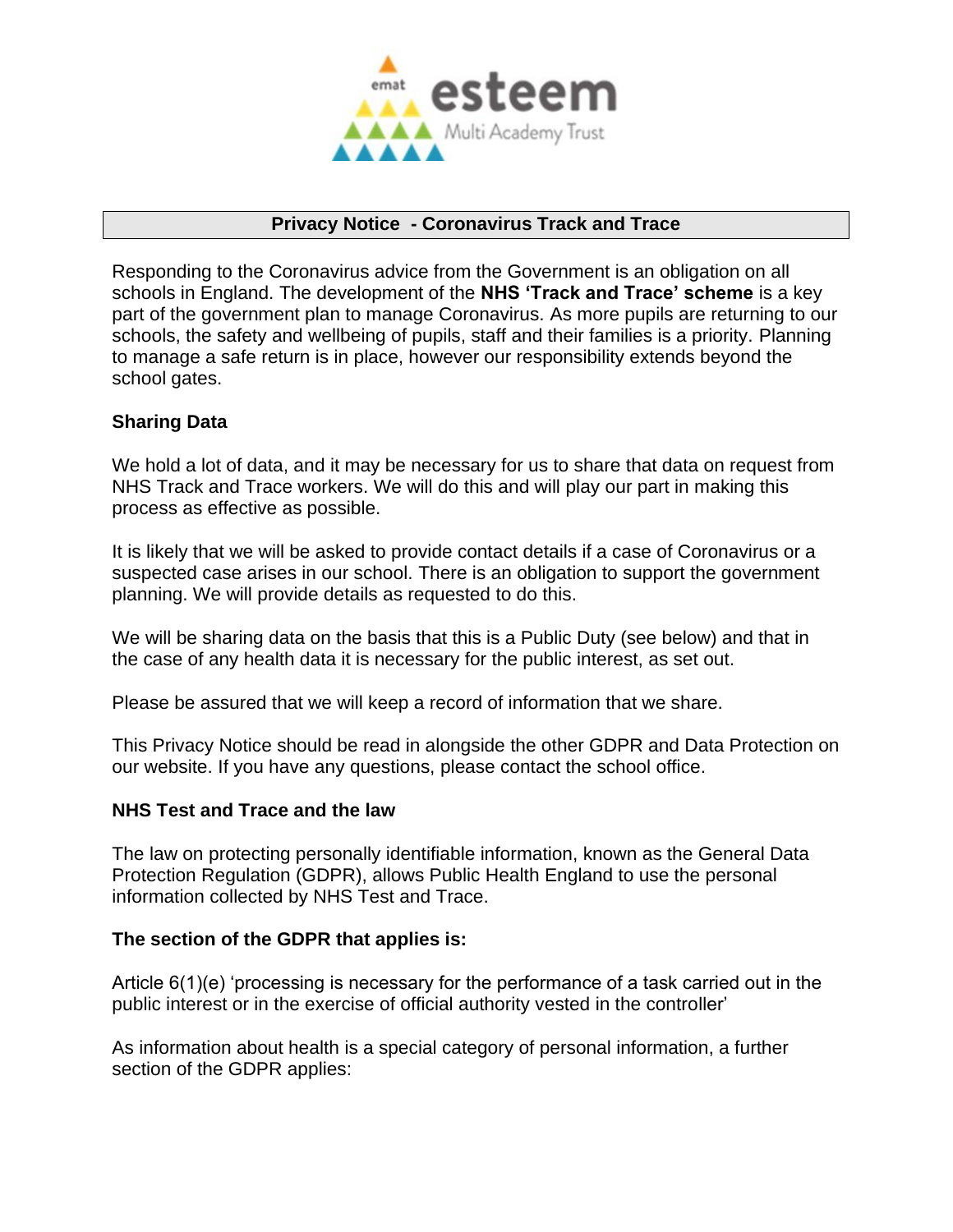

## **Privacy Notice - Coronavirus Track and Trace**

Responding to the Coronavirus advice from the Government is an obligation on all schools in England. The development of the **NHS 'Track and Trace' scheme** is a key part of the government plan to manage Coronavirus. As more pupils are returning to our schools, the safety and wellbeing of pupils, staff and their families is a priority. Planning to manage a safe return is in place, however our responsibility extends beyond the school gates.

## **Sharing Data**

We hold a lot of data, and it may be necessary for us to share that data on request from NHS Track and Trace workers. We will do this and will play our part in making this process as effective as possible.

It is likely that we will be asked to provide contact details if a case of Coronavirus or a suspected case arises in our school. There is an obligation to support the government planning. We will provide details as requested to do this.

We will be sharing data on the basis that this is a Public Duty (see below) and that in the case of any health data it is necessary for the public interest, as set out.

Please be assured that we will keep a record of information that we share.

This Privacy Notice should be read in alongside the other GDPR and Data Protection on our website. If you have any questions, please contact the school office.

## **NHS Test and Trace and the law**

The law on protecting personally identifiable information, known as the General Data Protection Regulation (GDPR), allows Public Health England to use the personal information collected by NHS Test and Trace.

## **The section of the GDPR that applies is:**

Article 6(1)(e) 'processing is necessary for the performance of a task carried out in the public interest or in the exercise of official authority vested in the controller'

As information about health is a special category of personal information, a further section of the GDPR applies: